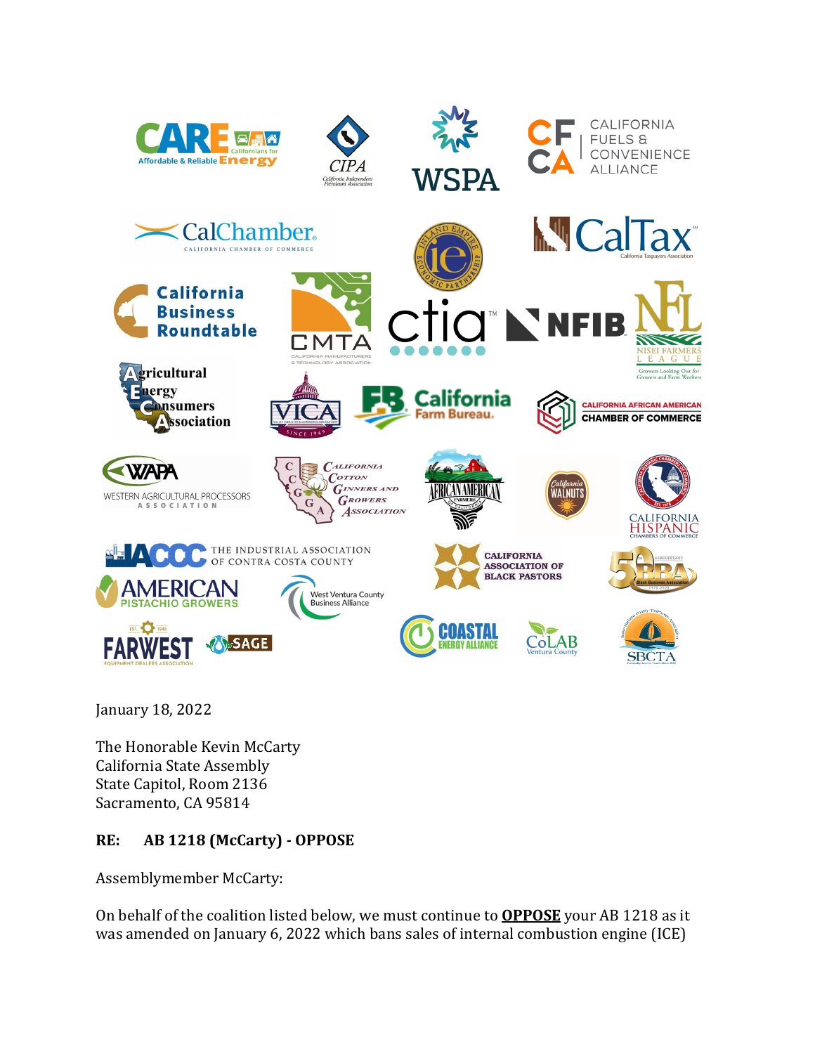





CALIFORNIA **FUELS &** CONVENIENCE **ALLIANCE** 



January 18, 2022

The Honorable Kevin McCarty California State Assembly State Capitol, Room 2136 Sacramento, CA 95814

## **RE: AB 1218 (McCarty) - OPPOSE**

Assemblymember McCarty:

On behalf of the coalition listed below, we must continue to **OPPOSE** your AB 1218 as it was amended on January 6, 2022 which bans sales of internal combustion engine (ICE)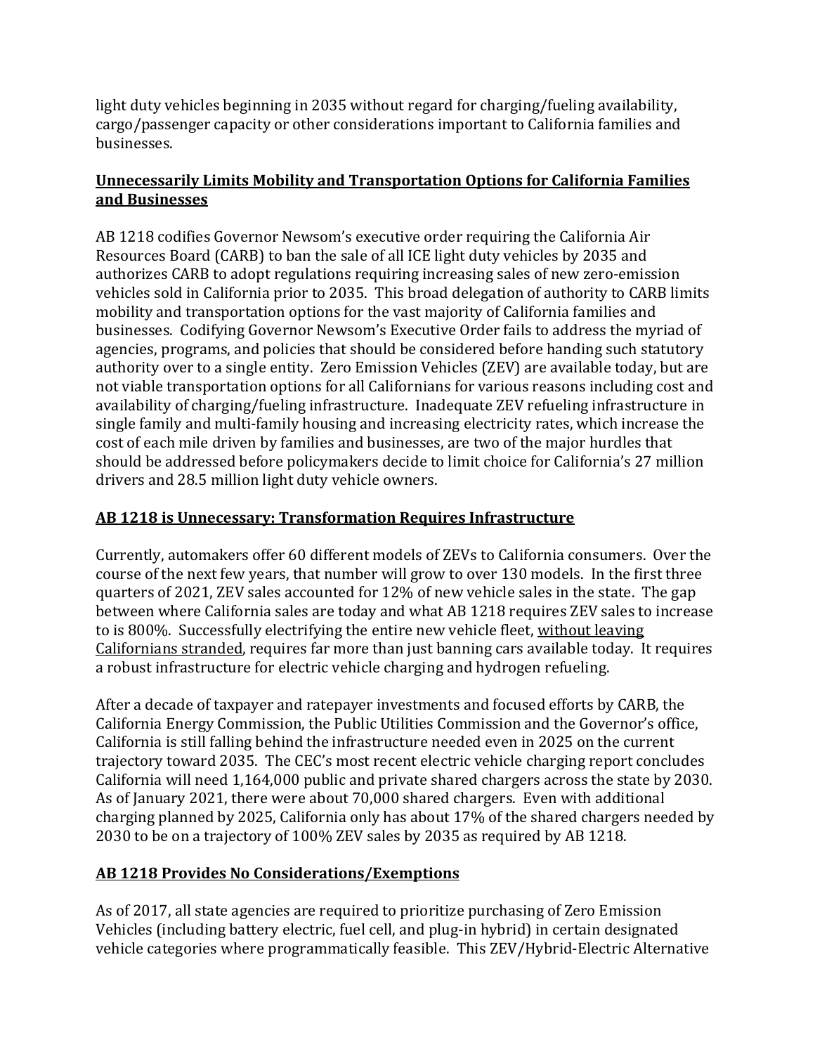light duty vehicles beginning in 2035 without regard for charging/fueling availability, cargo/passenger capacity or other considerations important to California families and businesses.

## **Unnecessarily Limits Mobility and Transportation Options for California Families and Businesses**

AB 1218 codifies Governor Newsom's executive order requiring the California Air Resources Board (CARB) to ban the sale of all ICE light duty vehicles by 2035 and authorizes CARB to adopt regulations requiring increasing sales of new zero-emission vehicles sold in California prior to 2035. This broad delegation of authority to CARB limits mobility and transportation options for the vast majority of California families and businesses. Codifying Governor Newsom's Executive Order fails to address the myriad of agencies, programs, and policies that should be considered before handing such statutory authority over to a single entity. Zero Emission Vehicles (ZEV) are available today, but are not viable transportation options for all Californians for various reasons including cost and availability of charging/fueling infrastructure. Inadequate ZEV refueling infrastructure in single family and multi-family housing and increasing electricity rates, which increase the cost of each mile driven by families and businesses, are two of the major hurdles that should be addressed before policymakers decide to limit choice for California's 27 million drivers and 28.5 million light duty vehicle owners.

## **AB 1218 is Unnecessary: Transformation Requires Infrastructure**

Currently, automakers offer 60 different models of ZEVs to California consumers. Over the course of the next few years, that number will grow to over 130 models. In the first three quarters of 2021, ZEV sales accounted for 12% of new vehicle sales in the state. The gap between where California sales are today and what AB 1218 requires ZEV sales to increase to is 800%. Successfully electrifying the entire new vehicle fleet, without leaving Californians stranded, requires far more than just banning cars available today. It requires a robust infrastructure for electric vehicle charging and hydrogen refueling.

After a decade of taxpayer and ratepayer investments and focused efforts by CARB, the California Energy Commission, the Public Utilities Commission and the Governor's office, California is still falling behind the infrastructure needed even in 2025 on the current trajectory toward 2035. The CEC's most recent electric vehicle charging report concludes California will need 1,164,000 public and private shared chargers across the state by 2030. As of January 2021, there were about 70,000 shared chargers. Even with additional charging planned by 2025, California only has about 17% of the shared chargers needed by 2030 to be on a trajectory of 100% ZEV sales by 2035 as required by AB 1218.

## **AB 1218 Provides No Considerations/Exemptions**

As of 2017, all state agencies are required to prioritize purchasing of Zero Emission Vehicles (including battery electric, fuel cell, and plug-in hybrid) in certain designated vehicle categories where programmatically feasible. This ZEV/Hybrid-Electric Alternative